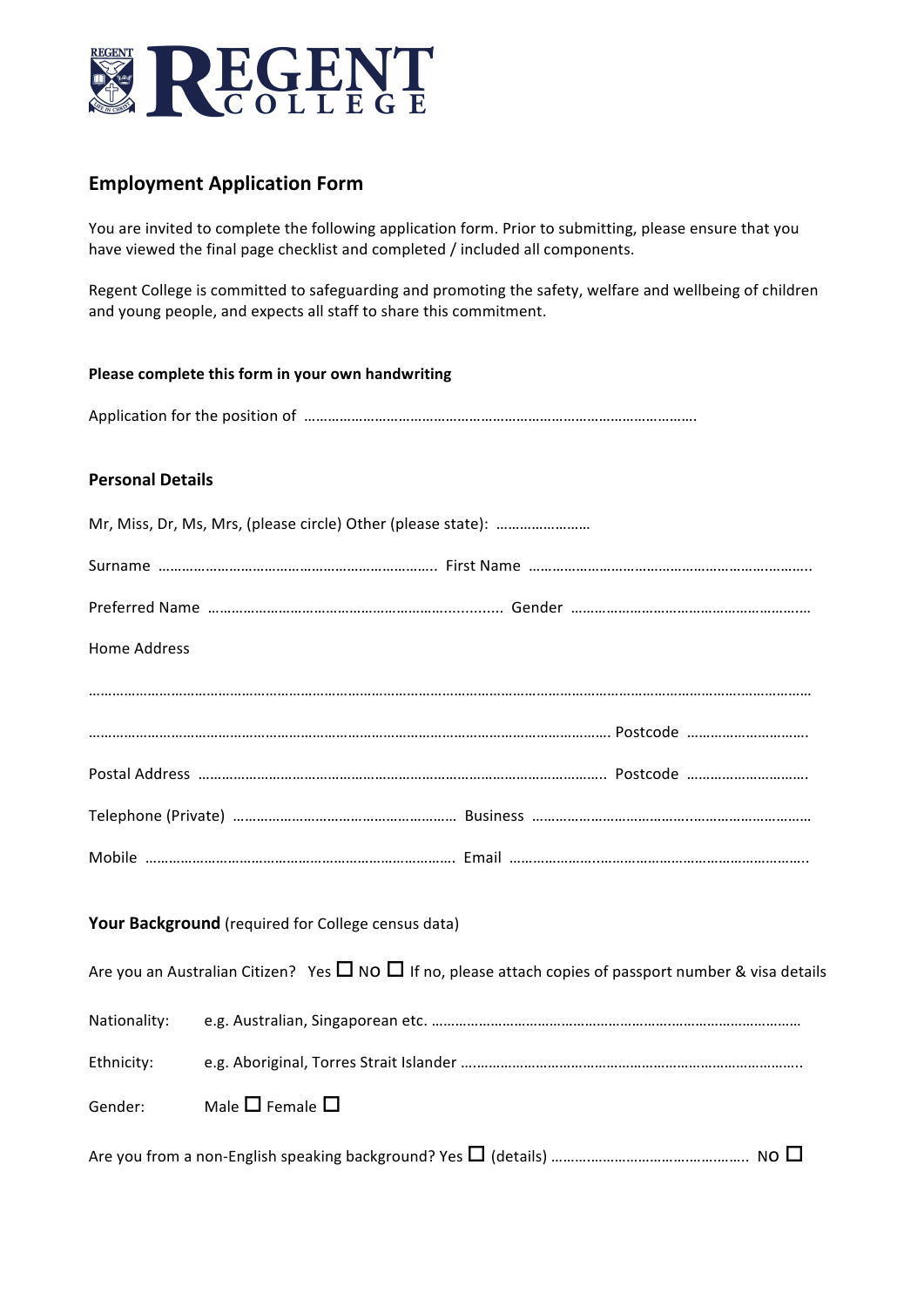

# **Employment Application Form**

You are invited to complete the following application form. Prior to submitting, please ensure that you have viewed the final page checklist and completed / included all components.

Regent College is committed to safeguarding and promoting the safety, welfare and wellbeing of children and young people, and expects all staff to share this commitment.

#### **Please complete this form in your own handwriting**

Application for the position of ……………………………………………………………………………………….

#### **Personal Details**

| Home Address |                                                                                                                   |
|--------------|-------------------------------------------------------------------------------------------------------------------|
|              |                                                                                                                   |
|              |                                                                                                                   |
|              |                                                                                                                   |
|              |                                                                                                                   |
|              |                                                                                                                   |
|              | Your Background (required for College census data)                                                                |
|              | Are you an Australian Citizen? Yes $\Box$ NO $\Box$ If no, please attach copies of passport number & visa details |
| Nationality: |                                                                                                                   |
| Ethnicity:   |                                                                                                                   |
| Gender:      | Male $\square$ Female $\square$                                                                                   |
|              |                                                                                                                   |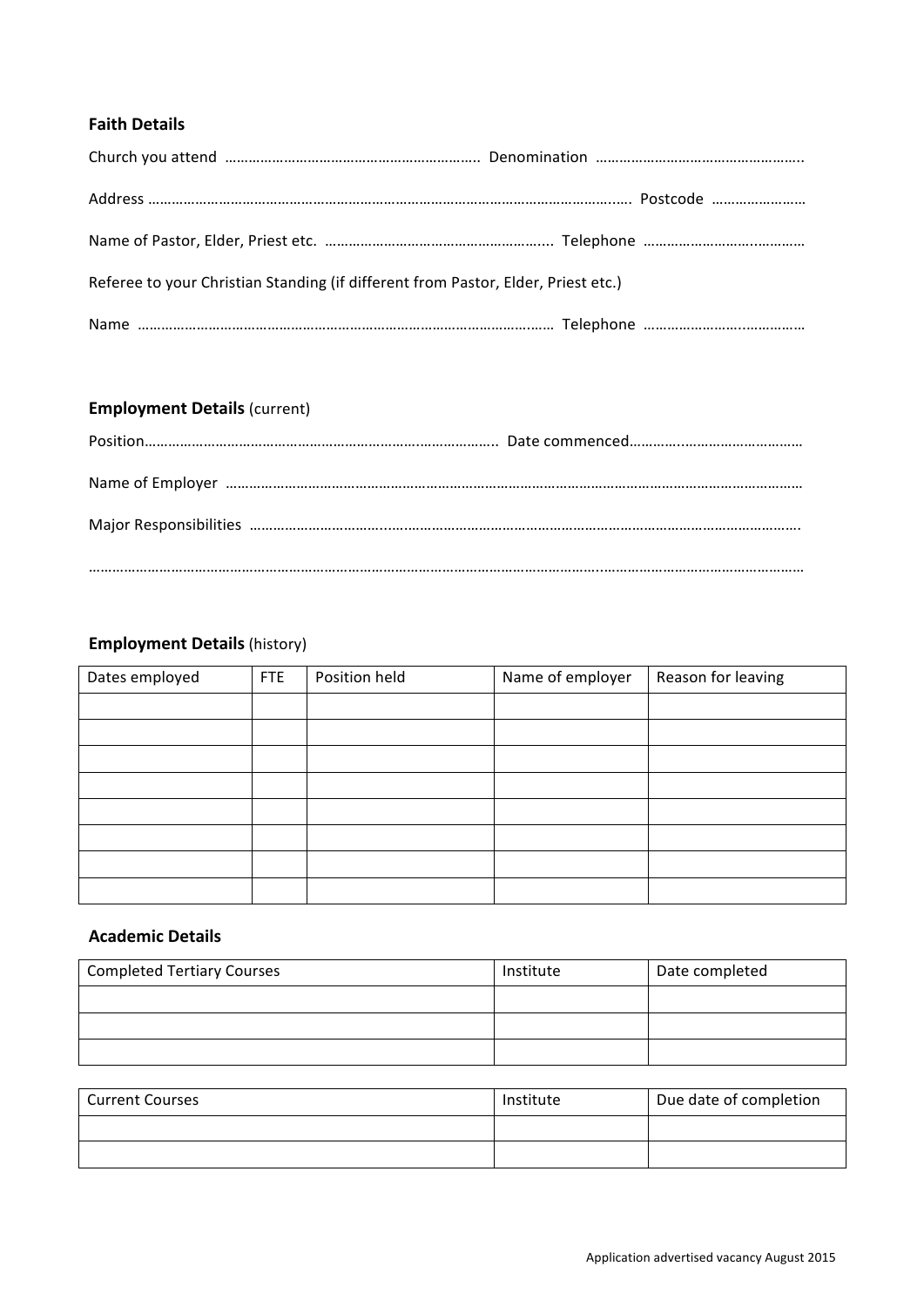## **Faith Details**

| Referee to your Christian Standing (if different from Pastor, Elder, Priest etc.) |  |
|-----------------------------------------------------------------------------------|--|
|                                                                                   |  |
|                                                                                   |  |

# **Employment Details** (current)

# **Employment Details** (history)

| Dates employed | <b>FTE</b> | Position held | Name of employer | Reason for leaving |
|----------------|------------|---------------|------------------|--------------------|
|                |            |               |                  |                    |
|                |            |               |                  |                    |
|                |            |               |                  |                    |
|                |            |               |                  |                    |
|                |            |               |                  |                    |
|                |            |               |                  |                    |
|                |            |               |                  |                    |
|                |            |               |                  |                    |

## **Academic Details**

| <b>Completed Tertiary Courses</b> | Institute | Date completed |
|-----------------------------------|-----------|----------------|
|                                   |           |                |
|                                   |           |                |
|                                   |           |                |

| <b>Current Courses</b> | Institute | Due date of completion |
|------------------------|-----------|------------------------|
|                        |           |                        |
|                        |           |                        |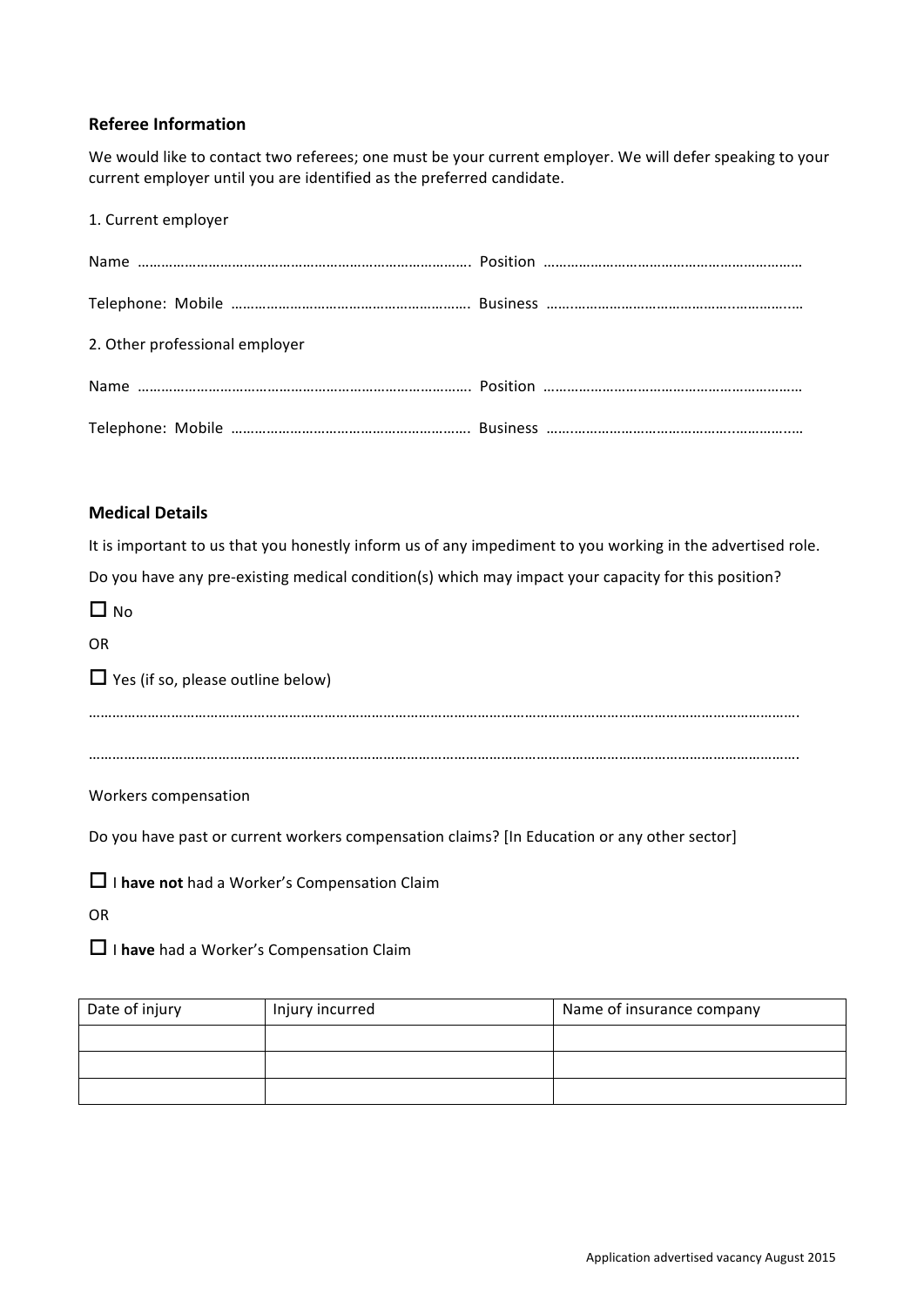#### **Referee Information**

We would like to contact two referees; one must be your current employer. We will defer speaking to your current employer until you are identified as the preferred candidate.

1. Current employer

| 2. Other professional employer |  |
|--------------------------------|--|
|                                |  |
|                                |  |

#### **Medical Details**

It is important to us that you honestly inform us of any impediment to you working in the advertised role. Do you have any pre-existing medical condition(s) which may impact your capacity for this position?

| $\Box$ No                                                                                   |
|---------------------------------------------------------------------------------------------|
| <b>OR</b>                                                                                   |
| $\Box$ Yes (if so, please outline below)                                                    |
|                                                                                             |
|                                                                                             |
| Workers compensation                                                                        |
| Do you have past or current workers compensation claims? [In Education or any other sector] |
| $\Box$ I have not had a Worker's Compensation Claim                                         |
|                                                                                             |

OR

□ I have had a Worker's Compensation Claim

| Date of injury | Injury incurred | Name of insurance company |
|----------------|-----------------|---------------------------|
|                |                 |                           |
|                |                 |                           |
|                |                 |                           |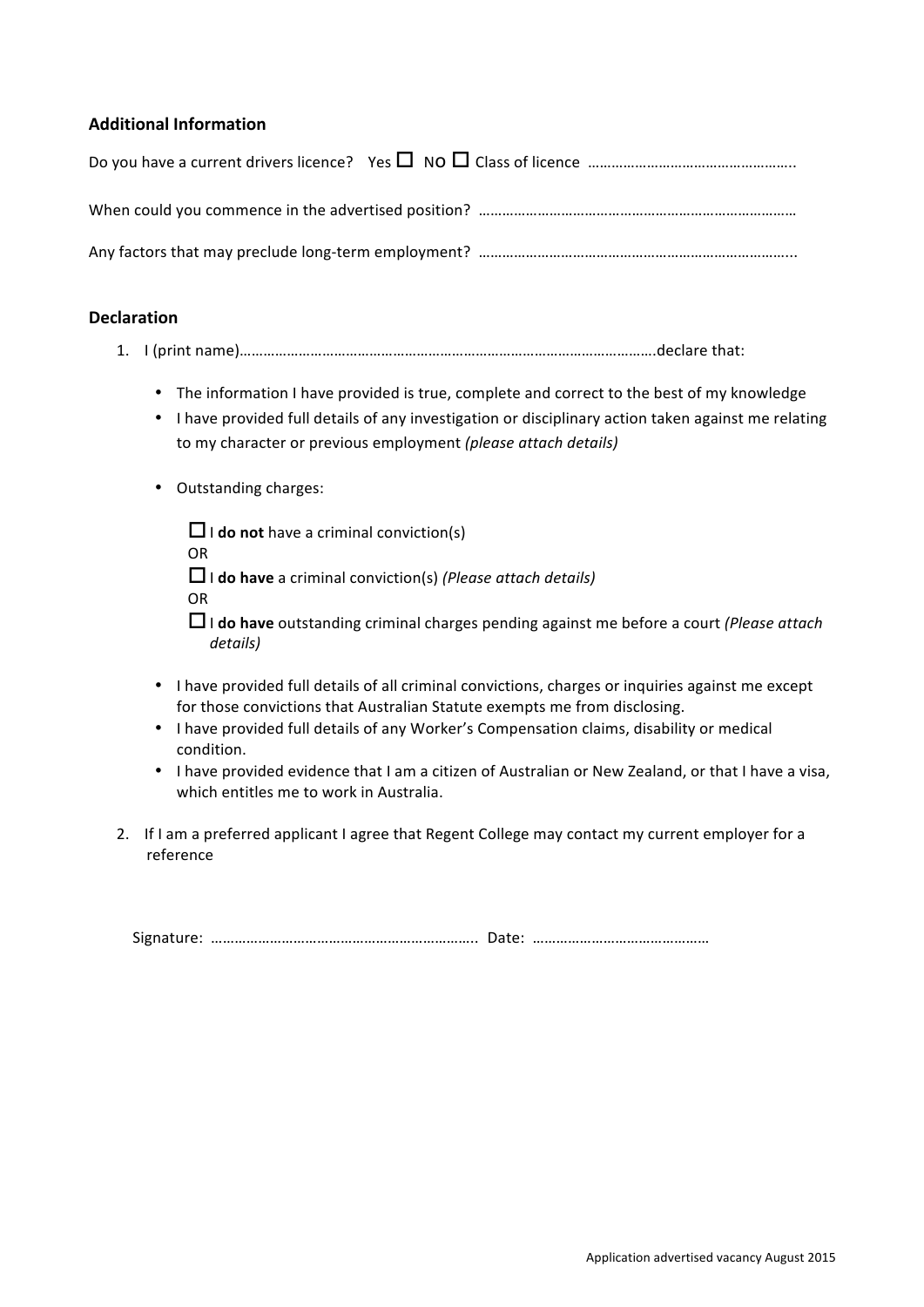#### **Additional Information**

| Do you have a current drivers licence? Yes $\Box$ NO $\Box$ Class of licence $\Box$ multimes $\Box$ and $\Box$ |
|----------------------------------------------------------------------------------------------------------------|
|                                                                                                                |
|                                                                                                                |

#### **Declaration**

- 1. I (print name)……………………………………………………………………………………………declare that:
	- The information I have provided is true, complete and correct to the best of my knowledge
	- I have provided full details of any investigation or disciplinary action taken against me relating to my character or previous employment *(please attach details)*
	- Outstanding charges:
		- $\Box$  **i** do not have a criminal conviction(s) OR □ **do have** a criminal conviction(s) (*Please attach details*) OR
		- □ **do have** outstanding criminal charges pending against me before a court *(Please attach*) *details)*
	- I have provided full details of all criminal convictions, charges or inquiries against me except for those convictions that Australian Statute exempts me from disclosing.
	- I have provided full details of any Worker's Compensation claims, disability or medical condition.
	- I have provided evidence that I am a citizen of Australian or New Zealand, or that I have a visa, which entitles me to work in Australia.
- 2. If I am a preferred applicant I agree that Regent College may contact my current employer for a reference

Signature: ………………………………………………………….. Date: ………………………………………